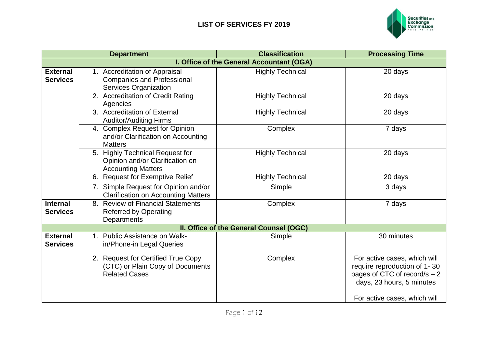

|                 | <b>Department</b>                          | <b>Classification</b>                     | <b>Processing Time</b>        |
|-----------------|--------------------------------------------|-------------------------------------------|-------------------------------|
|                 |                                            | I. Office of the General Accountant (OGA) |                               |
| <b>External</b> | 1. Accreditation of Appraisal              | <b>Highly Technical</b>                   | 20 days                       |
| <b>Services</b> | <b>Companies and Professional</b>          |                                           |                               |
|                 | Services Organization                      |                                           |                               |
|                 | 2. Accreditation of Credit Rating          | <b>Highly Technical</b>                   | 20 days                       |
|                 | Agencies                                   |                                           |                               |
|                 | 3. Accreditation of External               | <b>Highly Technical</b>                   | 20 days                       |
|                 | <b>Auditor/Auditing Firms</b>              |                                           |                               |
|                 | 4. Complex Request for Opinion             | Complex                                   | 7 days                        |
|                 | and/or Clarification on Accounting         |                                           |                               |
|                 | <b>Matters</b>                             |                                           |                               |
|                 | 5. Highly Technical Request for            | <b>Highly Technical</b>                   | 20 days                       |
|                 | Opinion and/or Clarification on            |                                           |                               |
|                 | <b>Accounting Matters</b>                  |                                           |                               |
|                 | 6. Request for Exemptive Relief            | <b>Highly Technical</b>                   | 20 days                       |
|                 | 7. Simple Request for Opinion and/or       | Simple                                    | 3 days                        |
|                 | <b>Clarification on Accounting Matters</b> |                                           |                               |
| <b>Internal</b> | 8. Review of Financial Statements          | Complex                                   | 7 days                        |
| <b>Services</b> | <b>Referred by Operating</b>               |                                           |                               |
|                 | Departments                                |                                           |                               |
|                 |                                            | II. Office of the General Counsel (OGC)   |                               |
| <b>External</b> | 1. Public Assistance on Walk-              | Simple                                    | 30 minutes                    |
| <b>Services</b> | in/Phone-in Legal Queries                  |                                           |                               |
|                 |                                            |                                           |                               |
|                 | 2. Request for Certified True Copy         | Complex                                   | For active cases, which will  |
|                 | (CTC) or Plain Copy of Documents           |                                           | require reproduction of 1-30  |
|                 | <b>Related Cases</b>                       |                                           | pages of CTC of record/s $-2$ |
|                 |                                            |                                           | days, 23 hours, 5 minutes     |
|                 |                                            |                                           |                               |
|                 |                                            |                                           | For active cases, which will  |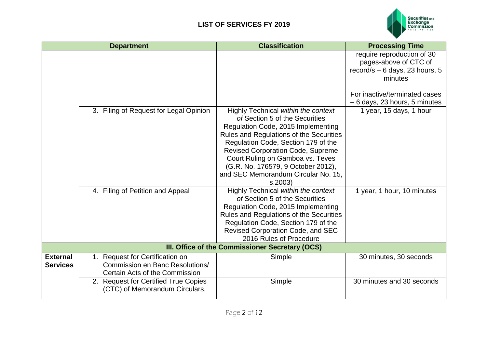

|                                    | <b>Department</b>                                                                                           | <b>Classification</b>                                                                                                                                                                                                                                                                                                                                                | <b>Processing Time</b>                                                                                                                                               |
|------------------------------------|-------------------------------------------------------------------------------------------------------------|----------------------------------------------------------------------------------------------------------------------------------------------------------------------------------------------------------------------------------------------------------------------------------------------------------------------------------------------------------------------|----------------------------------------------------------------------------------------------------------------------------------------------------------------------|
|                                    |                                                                                                             |                                                                                                                                                                                                                                                                                                                                                                      | require reproduction of 30<br>pages-above of CTC of<br>record/s $-6$ days, 23 hours, 5<br>minutes<br>For inactive/terminated cases<br>$-6$ days, 23 hours, 5 minutes |
|                                    | 3. Filing of Request for Legal Opinion                                                                      | Highly Technical within the context<br>of Section 5 of the Securities<br>Regulation Code, 2015 Implementing<br>Rules and Regulations of the Securities<br>Regulation Code, Section 179 of the<br><b>Revised Corporation Code, Supreme</b><br>Court Ruling on Gamboa vs. Teves<br>(G.R. No. 176579, 9 October 2012),<br>and SEC Memorandum Circular No. 15,<br>s.2003 | 1 year, 15 days, 1 hour                                                                                                                                              |
|                                    | 4. Filing of Petition and Appeal                                                                            | Highly Technical within the context<br>of Section 5 of the Securities<br>Regulation Code, 2015 Implementing<br>Rules and Regulations of the Securities<br>Regulation Code, Section 179 of the<br>Revised Corporation Code, and SEC<br>2016 Rules of Procedure                                                                                                        | 1 year, 1 hour, 10 minutes                                                                                                                                           |
|                                    |                                                                                                             | III. Office of the Commissioner Secretary (OCS)                                                                                                                                                                                                                                                                                                                      |                                                                                                                                                                      |
| <b>External</b><br><b>Services</b> | 1. Request for Certification on<br><b>Commission en Banc Resolutions/</b><br>Certain Acts of the Commission | Simple                                                                                                                                                                                                                                                                                                                                                               | 30 minutes, 30 seconds                                                                                                                                               |
|                                    | 2. Request for Certified True Copies<br>(CTC) of Memorandum Circulars,                                      | Simple                                                                                                                                                                                                                                                                                                                                                               | 30 minutes and 30 seconds                                                                                                                                            |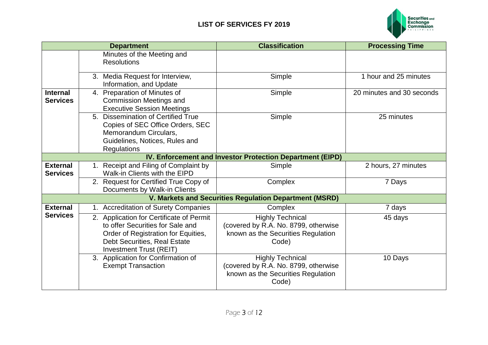

|                                    | <b>Department</b>                                                                                                                                                                     | <b>Classification</b>                                                                                          | <b>Processing Time</b>    |
|------------------------------------|---------------------------------------------------------------------------------------------------------------------------------------------------------------------------------------|----------------------------------------------------------------------------------------------------------------|---------------------------|
|                                    | Minutes of the Meeting and<br><b>Resolutions</b>                                                                                                                                      |                                                                                                                |                           |
|                                    | 3. Media Request for Interview,<br>Information, and Update                                                                                                                            | Simple                                                                                                         | 1 hour and 25 minutes     |
| <b>Internal</b><br><b>Services</b> | 4. Preparation of Minutes of<br><b>Commission Meetings and</b><br><b>Executive Session Meetings</b>                                                                                   | Simple                                                                                                         | 20 minutes and 30 seconds |
|                                    | 5. Dissemination of Certified True<br>Copies of SEC Office Orders, SEC<br>Memorandum Circulars,<br>Guidelines, Notices, Rules and<br>Regulations                                      | Simple                                                                                                         | 25 minutes                |
|                                    |                                                                                                                                                                                       | IV. Enforcement and Investor Protection Department (EIPD)                                                      |                           |
| <b>External</b><br><b>Services</b> | 1. Receipt and Filing of Complaint by<br>Walk-in Clients with the EIPD                                                                                                                | Simple                                                                                                         | 2 hours, 27 minutes       |
|                                    | 2. Request for Certified True Copy of<br>Documents by Walk-in Clients                                                                                                                 | Complex                                                                                                        | 7 Days                    |
|                                    |                                                                                                                                                                                       | V. Markets and Securities Regulation Department (MSRD)                                                         |                           |
| <b>External</b>                    | 1. Accreditation of Surety Companies                                                                                                                                                  | Complex                                                                                                        | 7 days                    |
| <b>Services</b>                    | 2. Application for Certificate of Permit<br>to offer Securities for Sale and<br>Order of Registration for Equities,<br>Debt Securities, Real Estate<br><b>Investment Trust (REIT)</b> | <b>Highly Technical</b><br>(covered by R.A. No. 8799, otherwise<br>known as the Securities Regulation<br>Code) | 45 days                   |
|                                    | 3. Application for Confirmation of<br><b>Exempt Transaction</b>                                                                                                                       | <b>Highly Technical</b><br>(covered by R.A. No. 8799, otherwise<br>known as the Securities Regulation<br>Code) | 10 Days                   |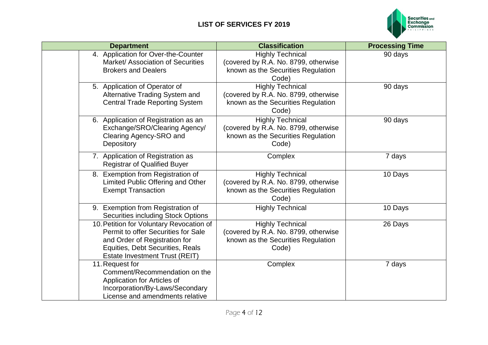

| <b>Department</b>                                                                                                                                                                      | <b>Classification</b>                                                                                          | <b>Processing Time</b> |
|----------------------------------------------------------------------------------------------------------------------------------------------------------------------------------------|----------------------------------------------------------------------------------------------------------------|------------------------|
| 4. Application for Over-the-Counter<br>Market/ Association of Securities<br><b>Brokers and Dealers</b>                                                                                 | <b>Highly Technical</b><br>(covered by R.A. No. 8799, otherwise<br>known as the Securities Regulation<br>Code) | 90 days                |
| 5. Application of Operator of<br>Alternative Trading System and<br><b>Central Trade Reporting System</b>                                                                               | <b>Highly Technical</b><br>(covered by R.A. No. 8799, otherwise<br>known as the Securities Regulation<br>Code) | 90 days                |
| 6. Application of Registration as an<br>Exchange/SRO/Clearing Agency/<br>Clearing Agency-SRO and<br>Depository                                                                         | <b>Highly Technical</b><br>(covered by R.A. No. 8799, otherwise<br>known as the Securities Regulation<br>Code) | 90 days                |
| 7. Application of Registration as<br><b>Registrar of Qualified Buyer</b>                                                                                                               | Complex                                                                                                        | 7 days                 |
| 8. Exemption from Registration of<br>Limited Public Offering and Other<br><b>Exempt Transaction</b>                                                                                    | <b>Highly Technical</b><br>(covered by R.A. No. 8799, otherwise<br>known as the Securities Regulation<br>Code) | 10 Days                |
| 9. Exemption from Registration of<br><b>Securities including Stock Options</b>                                                                                                         | <b>Highly Technical</b>                                                                                        | 10 Days                |
| 10. Petition for Voluntary Revocation of<br>Permit to offer Securities for Sale<br>and Order of Registration for<br>Equities, Debt Securities, Reals<br>Estate Investment Trust (REIT) | <b>Highly Technical</b><br>(covered by R.A. No. 8799, otherwise<br>known as the Securities Regulation<br>Code) | 26 Days                |
| 11. Request for<br>Comment/Recommendation on the<br>Application for Articles of<br>Incorporation/By-Laws/Secondary<br>License and amendments relative                                  | Complex                                                                                                        | 7 days                 |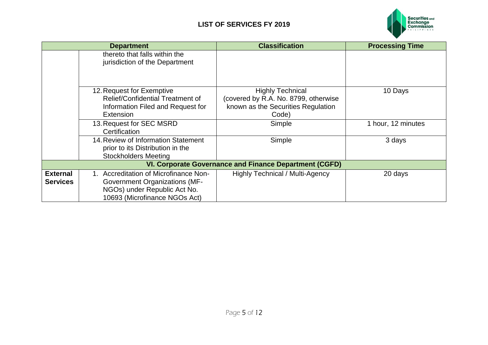

|                                    | <b>Department</b>                                                                                                                              | <b>Classification</b>                                                                                          | <b>Processing Time</b> |
|------------------------------------|------------------------------------------------------------------------------------------------------------------------------------------------|----------------------------------------------------------------------------------------------------------------|------------------------|
|                                    | thereto that falls within the<br>jurisdiction of the Department                                                                                |                                                                                                                |                        |
|                                    | 12. Request for Exemptive<br>Relief/Confidential Treatment of<br>Information Filed and Request for<br>Extension                                | <b>Highly Technical</b><br>(covered by R.A. No. 8799, otherwise<br>known as the Securities Regulation<br>Code) | 10 Days                |
|                                    | 13. Request for SEC MSRD<br>Certification                                                                                                      | Simple                                                                                                         | 1 hour, 12 minutes     |
|                                    | 14. Review of Information Statement<br>prior to its Distribution in the<br><b>Stockholders Meeting</b>                                         | Simple                                                                                                         | 3 days                 |
|                                    |                                                                                                                                                | VI. Corporate Governance and Finance Department (CGFD)                                                         |                        |
| <b>External</b><br><b>Services</b> | 1. Accreditation of Microfinance Non-<br><b>Government Organizations (MF-</b><br>NGOs) under Republic Act No.<br>10693 (Microfinance NGOs Act) | <b>Highly Technical / Multi-Agency</b>                                                                         | 20 days                |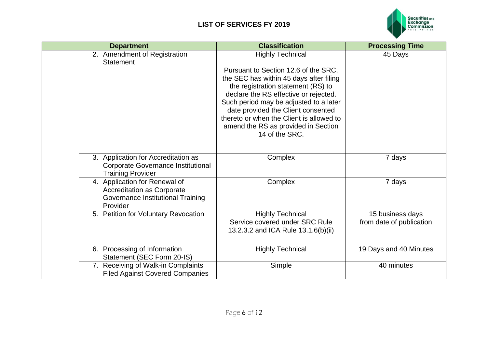

| <b>Department</b>                                                                                                   | <b>Classification</b>                                                                                                                                                                                                                                                                                                                                                          | <b>Processing Time</b>                       |
|---------------------------------------------------------------------------------------------------------------------|--------------------------------------------------------------------------------------------------------------------------------------------------------------------------------------------------------------------------------------------------------------------------------------------------------------------------------------------------------------------------------|----------------------------------------------|
| 2. Amendment of Registration<br>Statement                                                                           | <b>Highly Technical</b><br>Pursuant to Section 12.6 of the SRC,<br>the SEC has within 45 days after filing<br>the registration statement (RS) to<br>declare the RS effective or rejected.<br>Such period may be adjusted to a later<br>date provided the Client consented<br>thereto or when the Client is allowed to<br>amend the RS as provided in Section<br>14 of the SRC. | 45 Days                                      |
| 3. Application for Accreditation as<br><b>Corporate Governance Institutional</b><br><b>Training Provider</b>        | Complex                                                                                                                                                                                                                                                                                                                                                                        | 7 days                                       |
| 4. Application for Renewal of<br><b>Accreditation as Corporate</b><br>Governance Institutional Training<br>Provider | Complex                                                                                                                                                                                                                                                                                                                                                                        | 7 days                                       |
| 5. Petition for Voluntary Revocation                                                                                | <b>Highly Technical</b><br>Service covered under SRC Rule<br>13.2.3.2 and ICA Rule 13.1.6(b)(ii)                                                                                                                                                                                                                                                                               | 15 business days<br>from date of publication |
| 6. Processing of Information<br>Statement (SEC Form 20-IS)                                                          | <b>Highly Technical</b>                                                                                                                                                                                                                                                                                                                                                        | 19 Days and 40 Minutes                       |
| 7. Receiving of Walk-in Complaints<br><b>Filed Against Covered Companies</b>                                        | Simple                                                                                                                                                                                                                                                                                                                                                                         | 40 minutes                                   |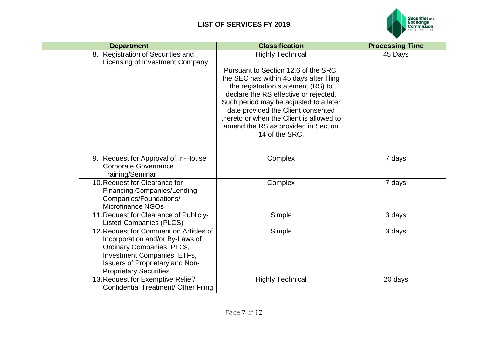

| <b>Department</b>                                                                                                                                                                                         | <b>Classification</b>                                                                                                                                                                                                                                                                                                                                                          | <b>Processing Time</b> |
|-----------------------------------------------------------------------------------------------------------------------------------------------------------------------------------------------------------|--------------------------------------------------------------------------------------------------------------------------------------------------------------------------------------------------------------------------------------------------------------------------------------------------------------------------------------------------------------------------------|------------------------|
| 8. Registration of Securities and<br>Licensing of Investment Company                                                                                                                                      | <b>Highly Technical</b><br>Pursuant to Section 12.6 of the SRC,<br>the SEC has within 45 days after filing<br>the registration statement (RS) to<br>declare the RS effective or rejected.<br>Such period may be adjusted to a later<br>date provided the Client consented<br>thereto or when the Client is allowed to<br>amend the RS as provided in Section<br>14 of the SRC. | 45 Days                |
| 9. Request for Approval of In-House<br><b>Corporate Governance</b><br>Training/Seminar                                                                                                                    | Complex                                                                                                                                                                                                                                                                                                                                                                        | 7 days                 |
| 10. Request for Clearance for<br><b>Financing Companies/Lending</b><br>Companies/Foundations/<br><b>Microfinance NGOs</b>                                                                                 | Complex                                                                                                                                                                                                                                                                                                                                                                        | 7 days                 |
| 11. Request for Clearance of Publicly-<br><b>Listed Companies (PLCS)</b>                                                                                                                                  | Simple                                                                                                                                                                                                                                                                                                                                                                         | 3 days                 |
| 12. Request for Comment on Articles of<br>Incorporation and/or By-Laws of<br>Ordinary Companies, PLCs,<br>Investment Companies, ETFs,<br>Issuers of Proprietary and Non-<br><b>Proprietary Securities</b> | Simple                                                                                                                                                                                                                                                                                                                                                                         | 3 days                 |
| 13. Request for Exemptive Relief/<br>Confidential Treatment/ Other Filing                                                                                                                                 | <b>Highly Technical</b>                                                                                                                                                                                                                                                                                                                                                        | 20 days                |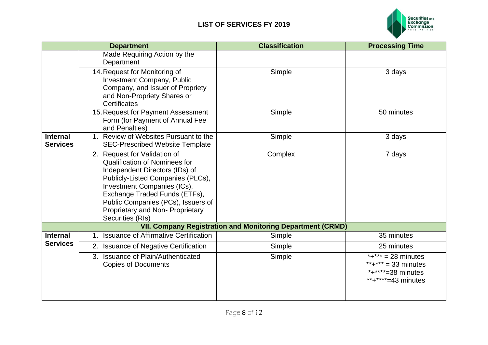

| <b>Department</b>                  |                                                                                                                                                                                                                                                                                                           | <b>Classification</b>                                             | <b>Processing Time</b>                                                                                     |
|------------------------------------|-----------------------------------------------------------------------------------------------------------------------------------------------------------------------------------------------------------------------------------------------------------------------------------------------------------|-------------------------------------------------------------------|------------------------------------------------------------------------------------------------------------|
|                                    | Made Requiring Action by the<br>Department                                                                                                                                                                                                                                                                |                                                                   |                                                                                                            |
|                                    | 14. Request for Monitoring of<br><b>Investment Company, Public</b><br>Company, and Issuer of Propriety<br>and Non-Propriety Shares or<br>Certificates                                                                                                                                                     | Simple                                                            | 3 days                                                                                                     |
|                                    | 15. Request for Payment Assessment<br>Form (for Payment of Annual Fee<br>and Penalties)                                                                                                                                                                                                                   | Simple                                                            | 50 minutes                                                                                                 |
| <b>Internal</b><br><b>Services</b> | 1. Review of Websites Pursuant to the<br><b>SEC-Prescribed Website Template</b>                                                                                                                                                                                                                           | Simple                                                            | 3 days                                                                                                     |
|                                    | 2. Request for Validation of<br><b>Qualification of Nominees for</b><br>Independent Directors (IDs) of<br>Publicly-Listed Companies (PLCs),<br>Investment Companies (ICs),<br>Exchange Traded Funds (ETFs),<br>Public Companies (PCs), Issuers of<br>Proprietary and Non- Proprietary<br>Securities (RIs) | Complex                                                           | 7 days                                                                                                     |
|                                    |                                                                                                                                                                                                                                                                                                           | <b>VII. Company Registration and Monitoring Department (CRMD)</b> |                                                                                                            |
| <b>Internal</b>                    | 1. Issuance of Affirmative Certification                                                                                                                                                                                                                                                                  | Simple                                                            | 35 minutes                                                                                                 |
| <b>Services</b>                    | 2. Issuance of Negative Certification                                                                                                                                                                                                                                                                     | Simple                                                            | 25 minutes                                                                                                 |
|                                    | 3. Issuance of Plain/Authenticated<br><b>Copies of Documents</b>                                                                                                                                                                                                                                          | Simple                                                            | $\overline{A^{*}}$ +*** = 28 minutes<br>**+*** = 33 minutes<br>* $+***$ *=38 minutes<br>**+****=43 minutes |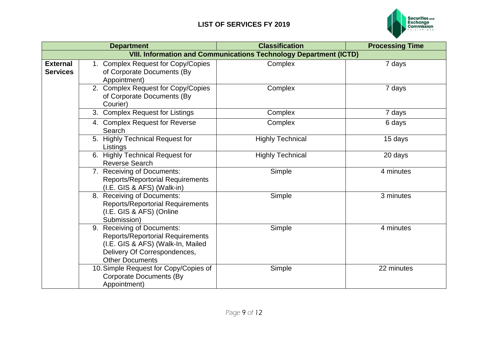

|                                    | <b>Department</b>                                                                                                                                                    | <b>Classification</b>                                                    | <b>Processing Time</b> |
|------------------------------------|----------------------------------------------------------------------------------------------------------------------------------------------------------------------|--------------------------------------------------------------------------|------------------------|
|                                    |                                                                                                                                                                      | <b>VIII. Information and Communications Technology Department (ICTD)</b> |                        |
| <b>External</b><br><b>Services</b> | 1. Complex Request for Copy/Copies<br>of Corporate Documents (By<br>Appointment)                                                                                     | Complex                                                                  | 7 days                 |
|                                    | 2. Complex Request for Copy/Copies<br>of Corporate Documents (By<br>Courier)                                                                                         | Complex                                                                  | 7 days                 |
|                                    | 3. Complex Request for Listings                                                                                                                                      | Complex                                                                  | 7 days                 |
|                                    | 4. Complex Request for Reverse<br>Search                                                                                                                             | Complex                                                                  | 6 days                 |
|                                    | 5. Highly Technical Request for<br>Listings                                                                                                                          | <b>Highly Technical</b>                                                  | 15 days                |
|                                    | 6. Highly Technical Request for<br><b>Reverse Search</b>                                                                                                             | <b>Highly Technical</b>                                                  | 20 days                |
|                                    | 7. Receiving of Documents:<br><b>Reports/Reportorial Requirements</b><br>(I.E. GIS & AFS) (Walk-in)                                                                  | Simple                                                                   | 4 minutes              |
|                                    | 8. Receiving of Documents:<br><b>Reports/Reportorial Requirements</b><br>(I.E. GIS & AFS) (Online<br>Submission)                                                     | Simple                                                                   | 3 minutes              |
|                                    | 9. Receiving of Documents:<br><b>Reports/Reportorial Requirements</b><br>(I.E. GIS & AFS) (Walk-In, Mailed<br>Delivery Of Correspondences,<br><b>Other Documents</b> | Simple                                                                   | 4 minutes              |
|                                    | 10. Simple Request for Copy/Copies of<br><b>Corporate Documents (By</b><br>Appointment)                                                                              | Simple                                                                   | 22 minutes             |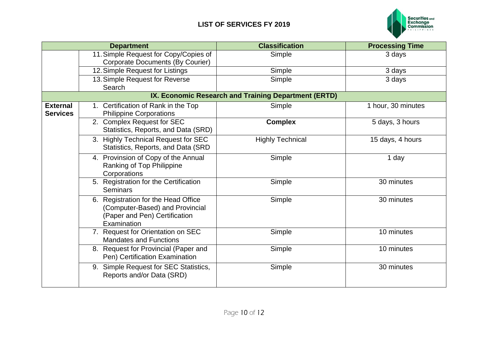

|                                    | <b>Department</b>                                                                                                      | <b>Classification</b>                                | <b>Processing Time</b> |
|------------------------------------|------------------------------------------------------------------------------------------------------------------------|------------------------------------------------------|------------------------|
|                                    | 11. Simple Request for Copy/Copies of                                                                                  | Simple                                               | 3 days                 |
|                                    | <b>Corporate Documents (By Courier)</b>                                                                                |                                                      |                        |
|                                    | 12. Simple Request for Listings                                                                                        | Simple                                               | 3 days                 |
|                                    | 13. Simple Request for Reverse<br>Search                                                                               | Simple                                               | 3 days                 |
|                                    |                                                                                                                        | IX. Economic Research and Training Department (ERTD) |                        |
| <b>External</b><br><b>Services</b> | 1. Certification of Rank in the Top<br><b>Philippine Corporations</b>                                                  | Simple                                               | 1 hour, 30 minutes     |
|                                    | 2. Complex Request for SEC<br>Statistics, Reports, and Data (SRD)                                                      | <b>Complex</b>                                       | 5 days, 3 hours        |
|                                    | 3. Highly Technical Request for SEC<br>Statistics, Reports, and Data (SRD                                              | <b>Highly Technical</b>                              | 15 days, 4 hours       |
|                                    | 4. Provinsion of Copy of the Annual<br>Ranking of Top Philippine<br>Corporations                                       | Simple                                               | 1 day                  |
|                                    | 5. Registration for the Certification<br><b>Seminars</b>                                                               | Simple                                               | 30 minutes             |
|                                    | 6. Registration for the Head Office<br>(Computer-Based) and Provincial<br>(Paper and Pen) Certification<br>Examination | Simple                                               | 30 minutes             |
|                                    | 7. Request for Orientation on SEC<br><b>Mandates and Functions</b>                                                     | Simple                                               | 10 minutes             |
|                                    | 8. Request for Provincial (Paper and<br>Pen) Certification Examination                                                 | Simple                                               | 10 minutes             |
|                                    | 9. Simple Request for SEC Statistics,<br>Reports and/or Data (SRD)                                                     | Simple                                               | 30 minutes             |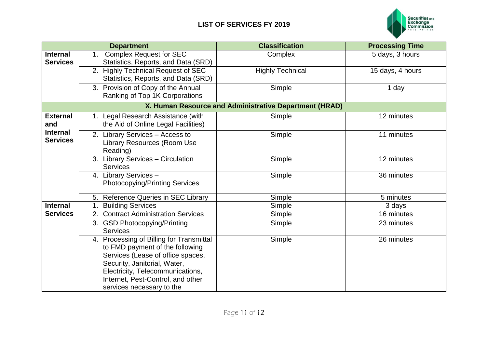

|                                    |    | <b>Department</b>                                                                                                                                                                                                                                      | <b>Classification</b>                                  | <b>Processing Time</b> |
|------------------------------------|----|--------------------------------------------------------------------------------------------------------------------------------------------------------------------------------------------------------------------------------------------------------|--------------------------------------------------------|------------------------|
| <b>Internal</b><br><b>Services</b> | 1. | <b>Complex Request for SEC</b><br>Statistics, Reports, and Data (SRD)                                                                                                                                                                                  | Complex                                                | 5 days, 3 hours        |
|                                    |    | 2. Highly Technical Request of SEC<br>Statistics, Reports, and Data (SRD)                                                                                                                                                                              | <b>Highly Technical</b>                                | 15 days, 4 hours       |
|                                    |    | 3. Provision of Copy of the Annual<br>Ranking of Top 1K Corporations                                                                                                                                                                                   | Simple                                                 | 1 day                  |
|                                    |    |                                                                                                                                                                                                                                                        | X. Human Resource and Administrative Department (HRAD) |                        |
| <b>External</b><br>and             |    | 1. Legal Research Assistance (with<br>the Aid of Online Legal Facilities)                                                                                                                                                                              | Simple                                                 | 12 minutes             |
| <b>Internal</b><br><b>Services</b> |    | 2. Library Services - Access to<br>Library Resources (Room Use<br>Reading)                                                                                                                                                                             | Simple                                                 | 11 minutes             |
|                                    |    | 3. Library Services - Circulation<br><b>Services</b>                                                                                                                                                                                                   | Simple                                                 | 12 minutes             |
|                                    |    | 4. Library Services -<br><b>Photocopying/Printing Services</b>                                                                                                                                                                                         | Simple                                                 | 36 minutes             |
|                                    |    | 5. Reference Queries in SEC Library                                                                                                                                                                                                                    | Simple                                                 | 5 minutes              |
| <b>Internal</b>                    |    | <b>Building Services</b>                                                                                                                                                                                                                               | Simple                                                 | 3 days                 |
| <b>Services</b>                    |    | 2. Contract Administration Services                                                                                                                                                                                                                    | Simple                                                 | 16 minutes             |
|                                    |    | 3. GSD Photocopying/Printing<br><b>Services</b>                                                                                                                                                                                                        | Simple                                                 | 23 minutes             |
|                                    |    | 4. Processing of Billing for Transmittal<br>to FMD payment of the following<br>Services (Lease of office spaces,<br>Security, Janitorial, Water,<br>Electricity, Telecommunications,<br>Internet, Pest-Control, and other<br>services necessary to the | Simple                                                 | 26 minutes             |